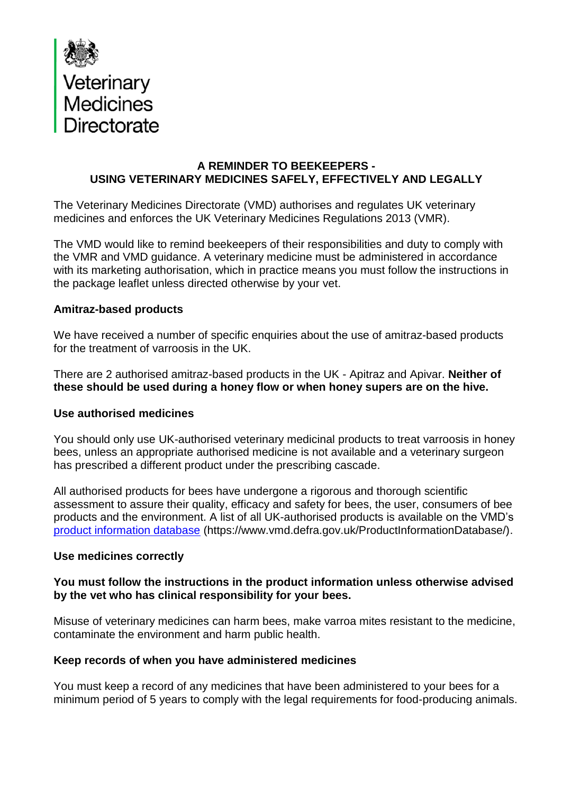

### **A REMINDER TO BEEKEEPERS - USING VETERINARY MEDICINES SAFELY, EFFECTIVELY AND LEGALLY**

The Veterinary Medicines Directorate (VMD) authorises and regulates UK veterinary medicines and enforces the UK Veterinary Medicines Regulations 2013 (VMR).

The VMD would like to remind beekeepers of their responsibilities and duty to comply with the VMR and VMD guidance. A veterinary medicine must be administered in accordance with its marketing authorisation, which in practice means you must follow the instructions in the package leaflet unless directed otherwise by your vet.

### **Amitraz-based products**

We have received a number of specific enquiries about the use of amitraz-based products for the treatment of varroosis in the UK.

There are 2 authorised amitraz-based products in the UK - Apitraz and Apivar. **Neither of these should be used during a honey flow or when honey supers are on the hive.**

### **Use authorised medicines**

You should only use UK-authorised veterinary medicinal products to treat varroosis in honey bees, unless an appropriate authorised medicine is not available and a veterinary surgeon has prescribed a different product under the prescribing cascade.

All authorised products for bees have undergone a rigorous and thorough scientific assessment to assure their quality, efficacy and safety for bees, the user, consumers of bee products and the environment. A list of all UK-authorised products is available on the VMD's [product information database](file:///C:/Users/mitchj/AppData/Roaming/OpenText/DM/Temp/product%20information%20database) (https://www.vmd.defra.gov.uk/ProductInformationDatabase/).

### **Use medicines correctly**

### **You must follow the instructions in the product information unless otherwise advised by the vet who has clinical responsibility for your bees.**

Misuse of veterinary medicines can harm bees, make varroa mites resistant to the medicine, contaminate the environment and harm public health.

### **Keep records of when you have administered medicines**

You must keep a record of any medicines that have been administered to your bees for a minimum period of 5 years to comply with the legal requirements for food-producing animals.